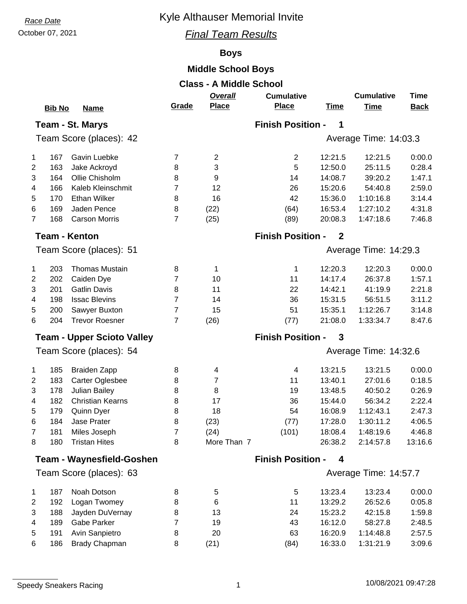# **Race Date Race Date Race Date Race Date Race Date Race Date Race Date Race 2013**

### October 07, 2021 *Final Team Results*

## **Boys**

## **Middle School Boys**

| <b>Class - A Middle School</b> |               |                                      |                |                     |                               |                       |                        |                   |  |  |  |
|--------------------------------|---------------|--------------------------------------|----------------|---------------------|-------------------------------|-----------------------|------------------------|-------------------|--|--|--|
|                                |               |                                      |                | Overall             | <b>Cumulative</b>             |                       | <b>Cumulative</b>      | <b>Time</b>       |  |  |  |
|                                | <b>Bib No</b> | <b>Name</b>                          | Grade          | <b>Place</b>        | <b>Place</b>                  | <b>Time</b>           | <b>Time</b>            | <b>Back</b>       |  |  |  |
|                                |               | Team - St. Marys                     |                |                     | <b>Finish Position -</b><br>1 |                       |                        |                   |  |  |  |
| Team Score (places): 42        |               |                                      |                |                     | Average Time: 14:03.3         |                       |                        |                   |  |  |  |
|                                |               |                                      |                |                     |                               |                       |                        |                   |  |  |  |
| 1                              | 167           | Gavin Luebke                         | 7              | $\overline{2}$      | $\overline{2}$                | 12:21.5               | 12:21.5                | 0:00.0            |  |  |  |
| 2                              | 163           | Jake Ackroyd                         | 8              | 3                   | 5                             | 12:50.0               | 25:11.5                | 0:28.4            |  |  |  |
| 3                              | 164           | Ollie Chisholm                       | 8              | 9                   | 14                            | 14:08.7               | 39:20.2                | 1:47.1            |  |  |  |
| 4                              | 166           | Kaleb Kleinschmit                    | 7              | 12                  | 26                            | 15:20.6               | 54:40.8                | 2:59.0            |  |  |  |
| 5                              | 170           | <b>Ethan Wilker</b>                  | 8              | 16                  | 42                            | 15:36.0               | 1:10:16.8              | 3:14.4            |  |  |  |
| 6                              | 169           | Jaden Pence                          | 8              | (22)                | (64)                          | 16:53.4               | 1:27:10.2              | 4:31.8            |  |  |  |
| $\overline{7}$                 | 168           | <b>Carson Morris</b>                 | 7              | (25)                | (89)                          | 20:08.3               | 1:47:18.6              | 7:46.8            |  |  |  |
|                                |               | <b>Team - Kenton</b>                 |                |                     | <b>Finish Position -</b>      | $\overline{2}$        |                        |                   |  |  |  |
| Team Score (places): 51        |               |                                      |                |                     |                               | Average Time: 14:29.3 |                        |                   |  |  |  |
| 1                              | 203           | <b>Thomas Mustain</b>                | 8              | 1                   | 1                             | 12:20.3               | 12:20.3                | 0:00.0            |  |  |  |
| $\overline{2}$                 | 202           | Caiden Dye                           | 7              | 10                  | 11                            | 14:17.4               | 26:37.8                | 1:57.1            |  |  |  |
| 3                              | 201           | <b>Gatlin Davis</b>                  | 8              | 11                  | 22                            | 14:42.1               | 41:19.9                | 2:21.8            |  |  |  |
| 4                              | 198           | <b>Issac Blevins</b>                 | 7              | 14                  | 36                            | 15:31.5               | 56:51.5                | 3:11.2            |  |  |  |
| 5                              | 200           | Sawyer Buxton                        | 7              | 15                  | 51                            | 15:35.1               | 1:12:26.7              | 3:14.8            |  |  |  |
| 6                              | 204           | <b>Trevor Roesner</b>                | $\overline{7}$ | (26)                | (77)                          | 21:08.0               | 1:33:34.7              | 8:47.6            |  |  |  |
|                                |               | <b>Team - Upper Scioto Valley</b>    |                |                     | <b>Finish Position -</b>      | 3                     |                        |                   |  |  |  |
| Team Score (places): 54        |               |                                      |                |                     | Average Time: 14:32.6         |                       |                        |                   |  |  |  |
| 1                              | 185           | <b>Braiden Zapp</b>                  | 8              | 4                   | 4                             | 13:21.5               | 13:21.5                | 0:00.0            |  |  |  |
| 2                              | 183           | Carter Oglesbee                      | 8              | 7                   | 11                            | 13:40.1               | 27:01.6                | 0:18.5            |  |  |  |
| 3                              | 178           | Julian Bailey                        | 8              | 8                   | 19                            | 13:48.5               | 40:50.2                | 0:26.9            |  |  |  |
| 4                              | 182           | <b>Christian Kearns</b>              | 8              | 17                  | 36                            | 15:44.0               | 56:34.2                | 2:22.4            |  |  |  |
|                                | 179           |                                      | 8              | 18                  | 54                            | 16:08.9               | 1:12:43.1              | 2:47.3            |  |  |  |
| 5                              |               | Quinn Dyer<br>Jase Prater            |                |                     |                               | 17:28.0               | 1:30:11.2              | 4:06.5            |  |  |  |
| 6                              | 184           |                                      | 8<br>7         | (23)                | (77)                          |                       |                        |                   |  |  |  |
| 7<br>8                         | 181<br>180    | Miles Joseph<br><b>Tristan Hites</b> | 8              | (24)<br>More Than 7 | (101)                         | 18:08.4<br>26:38.2    | 1:48:19.6<br>2:14:57.8 | 4:46.8<br>13:16.6 |  |  |  |
|                                |               | <b>Team - Waynesfield-Goshen</b>     |                |                     | <b>Finish Position -</b>      | 4                     |                        |                   |  |  |  |
| Team Score (places): 63        |               |                                      |                |                     | Average Time: 14:57.7         |                       |                        |                   |  |  |  |
|                                |               |                                      |                |                     |                               |                       |                        |                   |  |  |  |
| 1                              | 187           | Noah Dotson                          | 8              | 5                   | 5                             | 13:23.4               | 13:23.4                | 0:00.0            |  |  |  |
| 2                              | 192           | Logan Twomey                         | 8              | 6                   | 11                            | 13:29.2               | 26:52.6                | 0:05.8            |  |  |  |
| 3                              | 188           | Jayden DuVernay                      | 8              | 13                  | 24                            | 15:23.2               | 42:15.8                | 1:59.8            |  |  |  |
| 4                              | 189           | Gabe Parker                          | 7              | 19                  | 43                            | 16:12.0               | 58:27.8                | 2:48.5            |  |  |  |
| 5                              | 191           | Avin Sanpietro                       | 8              | 20                  | 63                            | 16:20.9               | 1:14:48.8              | 2:57.5            |  |  |  |
| 6                              | 186           | <b>Brady Chapman</b>                 | 8              | (21)                | (84)                          | 16:33.0               | 1:31:21.9              | 3:09.6            |  |  |  |